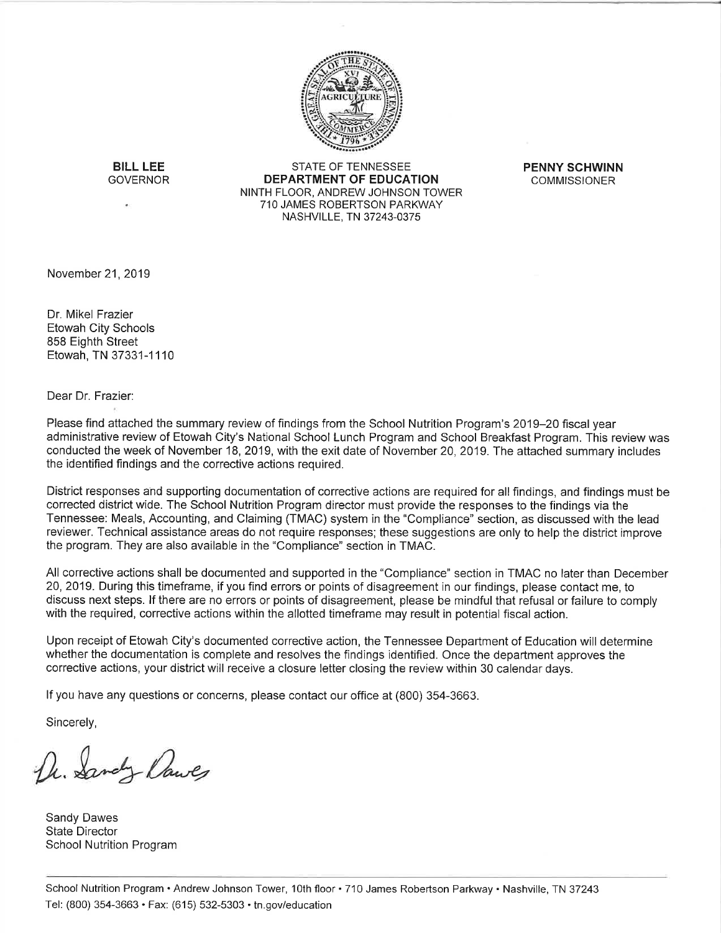

**BILL LEE GOVERNOR** 

STATE OF TENNESSEE **DEPARTMENT OF EDUCATION** NINTH FLOOR, ANDREW JOHNSON TOWER 710 JAMES ROBERTSON PARKWAY NASHVILLE, TN 37243-0375

**PENNY SCHWINN COMMISSIONER** 

November 21, 2019

Dr. Mikel Frazier Etowah City Schools 858 Eighth Street Etowah, TN 37331-1110

Dear Dr. Frazier:

Please find attached the summary review of findings from the School Nutrition Program's 2019–20 fiscal year administrative review of Etowah City's National School Lunch Program and School Breakfast Program. This review was conducted the week of November 18, 2019, with the exit date of November 20, 2019. The attached summary includes the identified findings and the corrective actions required.

District responses and supporting documentation of corrective actions are required for all findings, and findings must be corrected district wide. The School Nutrition Program director must provide the responses to the findings via the Tennessee: Meals, Accounting, and Claiming (TMAC) system in the "Compliance" section, as discussed with the lead reviewer. Technical assistance areas do not require responses; these suggestions are only to help the district improve the program. They are also available in the "Compliance" section in TMAC.

All corrective actions shall be documented and supported in the "Compliance" section in TMAC no later than December 20, 2019. During this timeframe, if you find errors or points of disagreement in our findings, please contact me, to discuss next steps. If there are no errors or points of disagreement, please be mindful that refusal or failure to comply with the required, corrective actions within the allotted timeframe may result in potential fiscal action.

Upon receipt of Etowah City's documented corrective action, the Tennessee Department of Education will determine whether the documentation is complete and resolves the findings identified. Once the department approves the corrective actions, your district will receive a closure letter closing the review within 30 calendar days.

If you have any questions or concerns, please contact our office at (800) 354-3663.

Sincerely,

U. Sandy Dawls

Sandy Dawes **State Director** School Nutrition Program